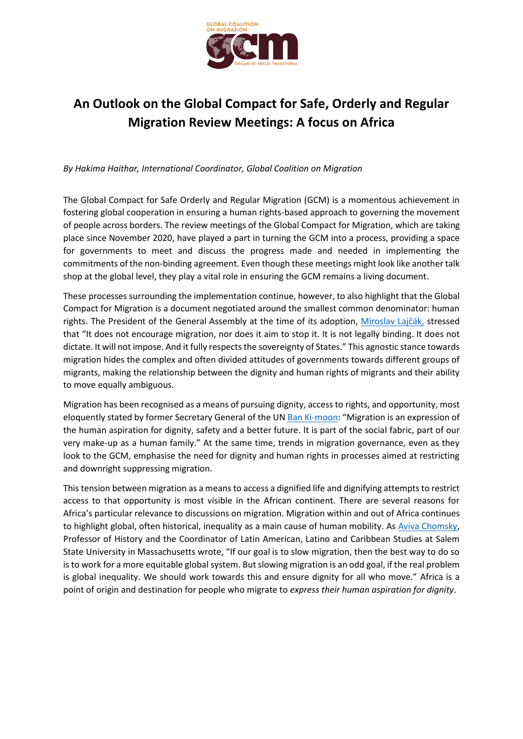

## **An Outlook on the Global Compact for Safe, Orderly and Regular Migration Review Meetings: A focus on Africa**

*By Hakima Haithar, International Coordinator, Global Coalition on Migration*

The Global Compact for Safe Orderly and Regular Migration (GCM) is a momentous achievement in fostering global cooperation in ensuring a human rights-based approach to governing the movement of people across borders. The review meetings of the Global Compact for Migration, which are taking place since November 2020, have played a part in turning the GCM into a process, providing a space for governments to meet and discuss the progress made and needed in implementing the commitments of the non-binding agreement. Even though these meetings might look like another talk shop at the global level, they play a vital role in ensuring the GCM remains a living document.

These processes surrounding the implementation continue, however, to also highlight that the Global Compact for Migration is a document negotiated around the smallest common denominator: human rights. The President of the General Assembly at the time of its adoption, [Miroslav Lajčák](https://news.un.org/en/story/2018/07/1014632), stressed that "It does not encourage migration, nor does it aim to stop it. It is not legally binding. It does not dictate. It will not impose. And it fully respects the sovereignty of States." This agnostic stance towards migration hides the complex and often divided attitudes of governments towards different groups of migrants, making the relationship between the dignity and human rights of migrants and their ability to move equally ambiguous.

Migration has been recognised as a means of pursuing dignity, access to rights, and opportunity, most eloquently stated by former Secretary General of the UN [Ban Ki-moon](https://www.un.org/en/ga/68/meetings/migration/pdf/Press%20release_closing%20of%20HLD_%20Migration%204%20October_final.pdf): "Migration is an expression of the human aspiration for dignity, safety and a better future. It is part of the social fabric, part of our very make-up as a human family." At the same time, trends in migration governance, even as they look to the GCM, emphasise the need for dignity and human rights in processes aimed at restricting and downright suppressing migration.

This tension between migration as a means to access a dignified life and dignifying attempts to restrict access to that opportunity is most visible in the African continent. There are several reasons for Africa's particular relevance to discussions on migration. Migration within and out of Africa continues to highlight global, often historical, inequality as a main cause of human mobility. As [Aviva Chomsky,](http://www.beacon.org/They-Take-Our-Jobs-P638.aspx) Professor of History and the Coordinator of Latin American, Latino and Caribbean Studies at Salem State University in Massachusetts wrote, "If our goal is to slow migration, then the best way to do so is to work for a more equitable global system. But slowing migration is an odd goal, if the real problem is global inequality. We should work towards this and ensure dignity for all who move." Africa is a point of origin and destination for people who migrate to *express their human aspiration for dignity*.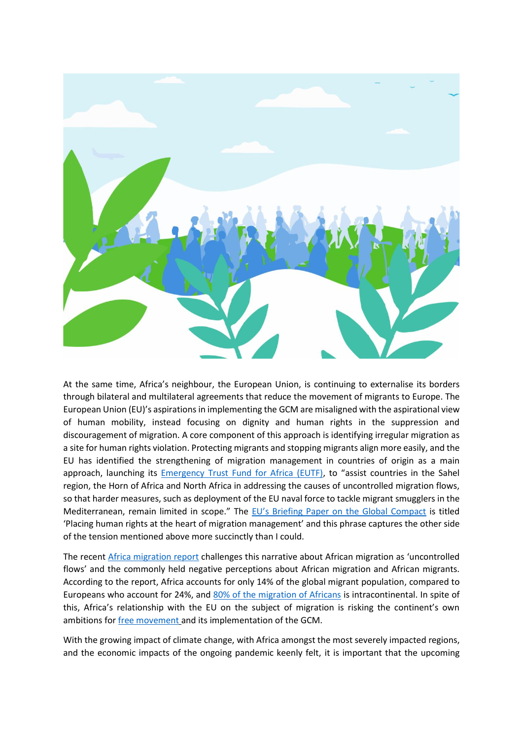

At the same time, Africa's neighbour, the European Union, is continuing to externalise its borders through bilateral and multilateral agreements that reduce the movement of migrants to Europe. The European Union (EU)'s aspirations in implementing the GCM are misaligned with the aspirational view of human mobility, instead focusing on dignity and human rights in the suppression and discouragement of migration. A core component of this approach is identifying irregular migration as a site for human rights violation. Protecting migrants and stopping migrants align more easily, and the EU has identified the strengthening of migration management in countries of origin as a main approach, launching its **Emergency Trust Fund for Africa (EUTF)**, to "assist countries in the Sahel region, the Horn of Africa and North Africa in addressing the causes of uncontrolled migration flows, so that harder measures, such as deployment of the EU naval force to tackle migrant smugglers in the Mediterranean, remain limited in scope." The [EU's Briefing Paper on the Global Comp](https://www.europarl.europa.eu/RegData/etudes/BRIE/2017/614638/EPRS_BRI(2017)614638_EN.pdf)act is titled 'Placing human rights at the heart of migration management' and this phrase captures the other side of the tension mentioned above more succinctly than I could.

The recent [Africa migration report](https://publications.iom.int/books/africa-migration-report-challenging-narrative) challenges this narrative about African migration as 'uncontrolled flows' and the commonly held negative perceptions about African migration and African migrants. According to the report, Africa accounts for only 14% of the global migrant population, compared to Europeans who account for 24%, and [80% of the migration of Africans](https://publications.iom.int/system/files/pdf/gmdac_data_briefing_series_issue_11.pdf) is intracontinental. In spite of this, Africa's relationship with the EU on the subject of migration is risking the continent's own ambitions fo[r free movement](https://au.int/sites/default/files/treaties/36403-treaty-protocol_on_free_movement_of_persons_in_africa_e.pdf) and its implementation of the GCM.

With the growing impact of climate change, with Africa amongst the most severely impacted regions, and the economic impacts of the ongoing pandemic keenly felt, it is important that the upcoming